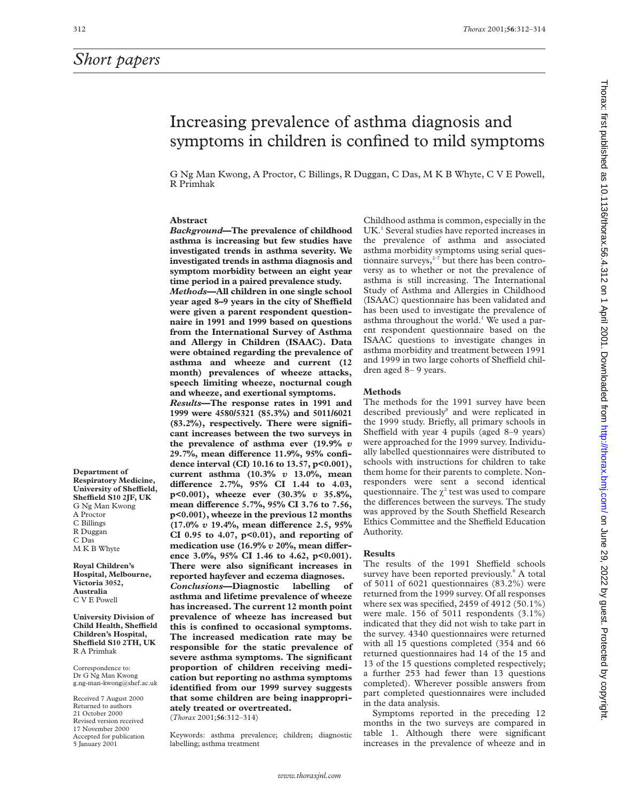# *Short papers*

**Department of Respiratory Medicine,** University of Sheffield, **SheYeld S10 2JF, UK** G Ng Man Kwong A Proctor C Billings R Duggan C Das M K B Whyte **Royal Children's Hospital, Melbourne, Victoria 3052, Australia** C V E Powell

**University Division of Child Health, SheYeld Children's Hospital, SheYeld S10 2TH, UK**

R A Primhak Correspondence to: Dr G Ng Man Kwong g.ng-man-kwong@shef.ac.uk Received 7 August 2000 Returned to authors 21 October 2000 Revised version received 17 November 2000 Accepted for publication 5 January 2001

# Increasing prevalence of asthma diagnosis and symptoms in children is confined to mild symptoms

G Ng Man Kwong, A Proctor, C Billings, R Duggan, C Das, M K B Whyte, C V E Powell, R Primhak

# **Abstract**

*Background***—The prevalence of childhood asthma is increasing but few studies have investigated trends in asthma severity. We investigated trends in asthma diagnosis and symptom morbidity between an eight year time period in a paired prevalence study.** *Methods***—All children in one single school** year aged 8-9 years in the city of Sheffield **were given a parent respondent questionnaire in 1991 and 1999 based on questions from the International Survey of Asthma and Allergy in Children (ISAAC). Data were obtained regarding the prevalence of asthma and wheeze and current (12 month) prevalences of wheeze attacks, speech limiting wheeze, nocturnal cough and wheeze, and exertional symptoms.** *Results***—The response rates in 1991 and 1999 were 4580/5321 (85.3%) and 5011/6021 (83.2%), respectively. There were significant increases between the two surveys in the prevalence of asthma ever (19.9%** *v* 29.7%, mean difference 11.9%, 95% confi**dence interval (CI) 10.16 to 13.57, p<0.001), current asthma (10.3%** *v* **13.0%, mean diVerence 2.7%, 95% CI 1.44 to 4.03, p<0.001), wheeze ever (30.3%** *v* **35.8%,** mean difference 5.7%, 95% CI 3.76 to 7.56, **p<0.001), wheeze in the previous 12 months (17.0%** *v* **19.4%, mean diVerence 2.5, 95% CI 0.95 to 4.07, p<0.01), and reporting of** medication use (16.9%  $v$  20%, mean differ**ence 3.0%, 95% CI 1.46 to 4.62, p<0.001). There were also significant increases in reported hayfever and eczema diagnoses.** *Conclusions***—Diagnostic labelling of asthma and lifetime prevalence of wheeze has increased. The current 12 month point prevalence of wheeze has increased but this is confined to occasional symptoms. The increased medication rate may be responsible for the static prevalence of severe asthma symptoms. The significant proportion of children receiving medication but reporting no asthma symptoms identified from our 1999 survey suggests that some children are being inappropriately treated or overtreated.** (*Thorax* 2001;**56**:312–314)

Keywords: asthma prevalence; children; diagnostic labelling; asthma treatment

Childhood asthma is common, especially in the UK.<sup>1</sup> Several studies have reported increases in the prevalence of asthma and associated asthma morbidity symptoms using serial questionnaire surveys, $2\frac{1}{7}$  but there has been controversy as to whether or not the prevalence of asthma is still increasing. The International Study of Asthma and Allergies in Childhood (ISAAC) questionnaire has been validated and has been used to investigate the prevalence of asthma throughout the world.<sup>1</sup> We used a parent respondent questionnaire based on the ISAAC questions to investigate changes in asthma morbidity and treatment between 1991 and 1999 in two large cohorts of Sheffield children aged 8– 9 years.

## **Methods**

The methods for the 1991 survey have been described previously<sup>8</sup> and were replicated in the 1999 study. Briefly, all primary schools in Sheffield with year 4 pupils (aged 8–9 years) were approached for the 1999 survey. Individually labelled questionnaires were distributed to schools with instructions for children to take them home for their parents to complete. Nonresponders were sent a second identical questionnaire. The  $\chi^2$  test was used to compare the differences between the surveys. The study was approved by the South Sheffield Research Ethics Committee and the Sheffield Education Authority.

### **Results**

The results of the 1991 Sheffield schools survey have been reported previously.<sup>8</sup> A total of 5011 of 6021 questionnaires (83.2%) were returned from the 1999 survey. Of all responses where sex was specified, 2459 of 4912 (50.1%) were male. 156 of 5011 respondents (3.1%) indicated that they did not wish to take part in the survey. 4340 questionnaires were returned with all 15 questions completed (354 and 66 returned questionnaires had 14 of the 15 and 13 of the 15 questions completed respectively; a further 253 had fewer than 13 questions completed). Wherever possible answers from part completed questionnaires were included in the data analysis.

Symptoms reported in the preceding 12 months in the two surveys are compared in table 1. Although there were significant increases in the prevalence of wheeze and in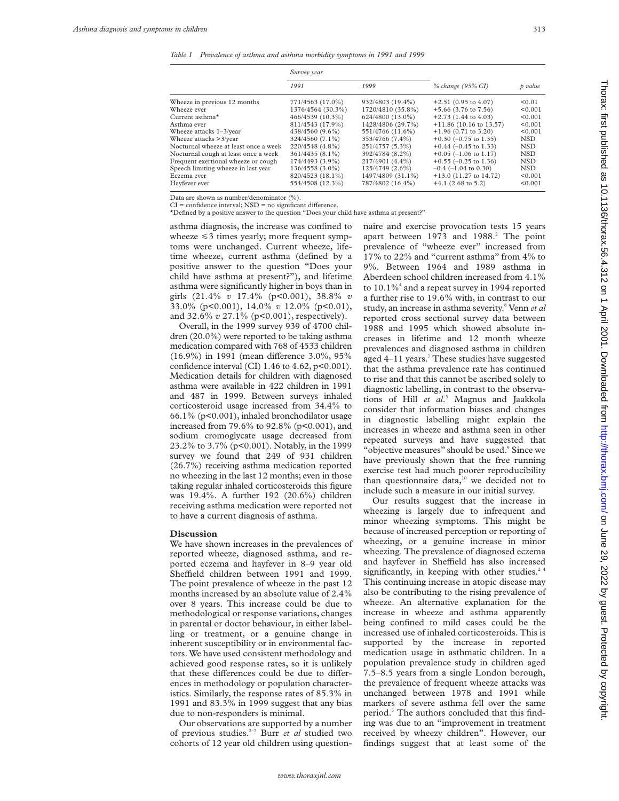*Table 1 Prevalence of asthma and asthma morbidity symptoms in 1991 and 1999*

|                                       | Survey year       |                   |                                   |            |
|---------------------------------------|-------------------|-------------------|-----------------------------------|------------|
|                                       | 1991              | 1999              | % change (95% CI)                 | p value    |
| Wheeze in previous 12 months          | 771/4563 (17.0%)  | 932/4803 (19.4%)  | $+2.51(0.95 \text{ to } 4.07)$    | < 0.01     |
| Wheeze ever                           | 1376/4564 (30.3%) | 1720/4810 (35.8%) | $+5.66$ (3.76 to 7.56)            | < 0.001    |
| Current asthma $*$                    | 466/4539 (10.3%)  | 624/4800 (13.0%)  | $+2.73$ (1.44 to 4.03)            | < 0.001    |
| Asthma ever                           | 811/4543 (17.9%)  | 1428/4806 (29.7%) | $+11.86(10.16 \text{ to } 13.57)$ | < 0.001    |
| Wheeze attacks $1-3$ /year            | 438/4560 (9.6%)   | 551/4766 (11.6%)  | $+1.96(0.71$ to 3.20)             | < 0.001    |
| Wheeze attacks >3/year                | 324/4560 (7.1%)   | 353/4766 (7.4%)   | $+0.30$ (-0.75 to 1.35)           | NSD.       |
| Nocturnal wheeze at least once a week | 220/4548 (4.8%)   | 251/4757 (5.3%)   | $+0.44$ (-0.45 to 1.33)           | <b>NSD</b> |
| Nocturnal cough at least once a week  | 361/4435 (8.1%)   | 392/4784 (8.2%)   | $+0.05$ (-1.06 to 1.17)           | <b>NSD</b> |
| Frequent exertional wheeze or cough   | 174/4493 (3.9%)   | 217/4901 (4.4%)   | $+0.55$ (-0.25 to 1.36)           | <b>NSD</b> |
| Speech limiting wheeze in last year   | 136/4558 (3.0%)   | 125/4749 (2.6%)   | $-0.4$ (-1.04 to 0.30)            | <b>NSD</b> |
| Eczema ever                           | 820/4523 (18.1%)  | 1497/4809 (31.1%) | $+13.0$ (11.27 to 14.72)          | < 0.001    |
| Havfever ever                         | 554/4508 (12.3%)  | 787/4802 (16.4%)  | $+4.1$ (2.68 to 5.2)              | < 0.001    |

Data are shown as number/denominator (%).

 $CI =$  confidence interval;  $NSD =$  no significant difference.

\*Defined by a positive answer to the question "Does your child have asthma at present?"

asthma diagnosis, the increase was confined to wheeze  $\leq 3$  times yearly; more frequent symptoms were unchanged. Current wheeze, lifetime wheeze, current asthma (defined by a positive answer to the question "Does your child have asthma at present?"), and lifetime asthma were significantly higher in boys than in girls (21.4% *v* 17.4% (p<0.001), 38.8% *v* 33.0% (p<0.001), 14.0% *v* 12.0% (p<0.01), and 32.6% *v* 27.1% (p<0.001), respectively).

Overall, in the 1999 survey 939 of 4700 children (20.0%) were reported to be taking asthma medication compared with 768 of 4533 children  $(16.9\%)$  in 1991 (mean difference 3.0%, 95% confidence interval (CI) 1.46 to 4.62, p<0.001). Medication details for children with diagnosed asthma were available in 422 children in 1991 and 487 in 1999. Between surveys inhaled corticosteroid usage increased from 34.4% to 66.1% (p<0.001), inhaled bronchodilator usage increased from 79.6% to 92.8% (p<0.001), and sodium cromoglycate usage decreased from 23.2% to 3.7% (p<0.001). Notably, in the 1999 survey we found that 249 of 931 children (26.7%) receiving asthma medication reported no wheezing in the last 12 months; even in those taking regular inhaled corticosteroids this figure was 19.4%. A further 192 (20.6%) children receiving asthma medication were reported not to have a current diagnosis of asthma.

#### **Discussion**

We have shown increases in the prevalences of reported wheeze, diagnosed asthma, and reported eczema and hayfever in 8–9 year old Sheffield children between 1991 and 1999. The point prevalence of wheeze in the past 12 months increased by an absolute value of 2.4% over 8 years. This increase could be due to methodological or response variations, changes in parental or doctor behaviour, in either labelling or treatment, or a genuine change in inherent susceptibility or in environmental factors. We have used consistent methodology and achieved good response rates, so it is unlikely that these differences could be due to differences in methodology or population characteristics. Similarly, the response rates of 85.3% in 1991 and 83.3% in 1999 suggest that any bias due to non-responders is minimal.

Our observations are supported by a number of previous studies.2–7 Burr *et al* studied two cohorts of 12 year old children using questionnaire and exercise provocation tests 15 years apart between  $1973$  and  $1988<sup>2</sup>$ . The point prevalence of "wheeze ever" increased from 17% to 22% and "current asthma" from 4% to 9%. Between 1964 and 1989 asthma in Aberdeen school children increased from 4.1% to 10.1%<sup>4</sup> and a repeat survey in 1994 reported a further rise to 19.6% with, in contrast to our study, an increase in asthma severity.<sup>6</sup> Venn *et al* reported cross sectional survey data between 1988 and 1995 which showed absolute increases in lifetime and 12 month wheeze prevalences and diagnosed asthma in children aged  $4-11$  years.<sup>7</sup> These studies have suggested that the asthma prevalence rate has continued to rise and that this cannot be ascribed solely to diagnostic labelling, in contrast to the observations of Hill *et al*. <sup>3</sup> Magnus and Jaakkola consider that information biases and changes in diagnostic labelling might explain the increases in wheeze and asthma seen in other repeated surveys and have suggested that "objective measures" should be used.<sup>9</sup> Since we have previously shown that the free running exercise test had much poorer reproducibility than questionnaire data, $10$  we decided not to include such a measure in our initial survey.

Our results suggest that the increase in wheezing is largely due to infrequent and minor wheezing symptoms. This might be because of increased perception or reporting of wheezing, or a genuine increase in minor wheezing. The prevalence of diagnosed eczema and hayfever in Sheffield has also increased significantly, in keeping with other studies.<sup>24</sup> This continuing increase in atopic disease may also be contributing to the rising prevalence of wheeze. An alternative explanation for the increase in wheeze and asthma apparently being confined to mild cases could be the increased use of inhaled corticosteroids. This is supported by the increase in reported medication usage in asthmatic children. In a population prevalence study in children aged 7.5–8.5 years from a single London borough, the prevalence of frequent wheeze attacks was unchanged between 1978 and 1991 while markers of severe asthma fell over the same period.<sup>5</sup> The authors concluded that this finding was due to an "improvement in treatment received by wheezy children". However, our findings suggest that at least some of the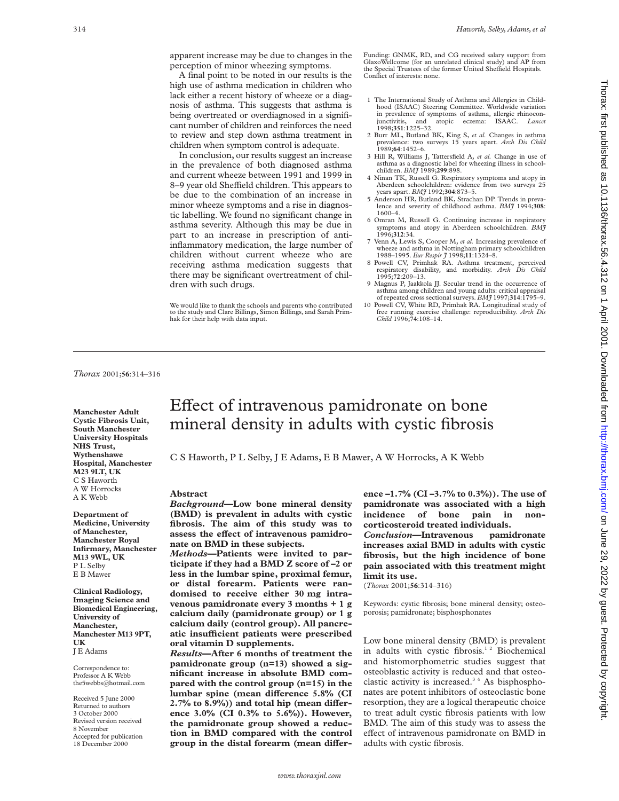apparent increase may be due to changes in the perception of minor wheezing symptoms.

A final point to be noted in our results is the high use of asthma medication in children who lack either a recent history of wheeze or a diagnosis of asthma. This suggests that asthma is being overtreated or overdiagnosed in a significant number of children and reinforces the need to review and step down asthma treatment in children when symptom control is adequate.

In conclusion, our results suggest an increase in the prevalence of both diagnosed asthma and current wheeze between 1991 and 1999 in 8–9 year old Sheffield children. This appears to be due to the combination of an increase in minor wheeze symptoms and a rise in diagnostic labelling. We found no significant change in asthma severity. Although this may be due in part to an increase in prescription of antiinflammatory medication, the large number of children without current wheeze who are receiving asthma medication suggests that there may be significant overtreatment of children with such drugs.

We would like to thank the schools and parents who contributed to the study and Clare Billings, Simon Billings, and Sarah Primhak for their help with data input.

Funding: GNMK, RD, and CG received salary support from GlaxoWellcome (for an unrelated clinical study) and AP from the Special Trustees of the former United Sheffield Hospitals. Conflict of interests: none.

- 1 The International Study of Asthma and Allergies in Childhood (ISAAC) Steering Committee. Worldwide variation in prevalence of symptoms of asthma, allergic rhinocon-<br>innctivitis, and atopic eczema: ISAAC. *Lancet* junctivitis, and atopic eczema: ISAAC. *Lancet* 1998;**351**:1225–32.
- 2 Burr ML, Butland BK, King S, *et al.* Changes in asthma prevalence: two surveys 15 years apart. *Arch Dis Child* 1989;**64**:1452–6.
- 3 Hill R, Williams J, Tattersfield A, *et al.* Change in use of asthma as a diagnostic label for wheezing illness in schoolchildren. *BMJ* 1989;**299**:898.
- 4 Ninan TK, Russell G. Respiratory symptoms and atopy in Aberdeen schoolchildren: evidence from two surveys 25 years apart. *BM*7 1992;304:873-5. years apart. *BMJ* 1992;**304**:873–5.
- 5 Anderson HR, Butland BK, Strachan DP. Trends in prevalence and severity of childhood asthma. *BMJ* 1994;**308**: 1600–4.
- 6 Omran M, Russell G. Continuing increase in respiratory symptoms and atopy in Aberdeen schoolchildren. *BMJ* 1996;**312**:34.
- 7 Venn A, Lewis S, Cooper M, *et al.* Increasing prevalence of wheeze and asthma in Nottingham primary schoolchildren 1988–1995. *Eur Respir J* 1998;**11**:1324–8.
- 8 Powell CV, Primhak RA. Asthma treatment, perceived respiratory disability, and morbidity. *Arch Dis Child* 1995;**72**:209–13.
- 9 Magnus P, Jaakkola JJ. Secular trend in the occurrence of asthma among children and young adults: critical appraisal of repeated cross sectional surveys. *BMJ* 1997;**314**:1795–9.
- 10 Powell CV, White RD, Primhak RA. Longitudinal study of free running exercise challenge: reproducibility. *Arch Dis Child* 1996;**74**:108–14.

*Thorax* 2001;**56**:314–316

**Manchester Adult Cystic Fibrosis Unit, South Manchester University Hospitals NHS Trust, Wythenshawe Hospital, Manchester M23 9LT, UK** C S Haworth A W Horrocks A K Webb

**Department of Medicine, University of Manchester, Manchester Royal Infirmary, Manchester M13 9WL, UK** P L Selby E B Mawer

**Clinical Radiology, Imaging Science and Biomedical Engineering, University of Manchester, Manchester M13 9PT, UK** J E Adams

Correspondence to: Professor A K Webb the5webbs@hotmail.com

Received 5 June 2000 Returned to authors 3 October 2000 Revised version received 8 November Accepted for publication 18 December 2000

# Effect of intravenous pamidronate on bone mineral density in adults with cystic fibrosis

C S Haworth, P L Selby, J E Adams, E B Mawer, A W Horrocks, A K Webb

#### **Abstract**

*Background—***Low bone mineral density (BMD) is prevalent in adults with cystic fibrosis. The aim of this study was to** assess the effect of intravenous pamidro**nate on BMD in these subjects.**

*Methods***—Patients were invited to participate if they had a BMD Z score of –2 or less in the lumbar spine, proximal femur, or distal forearm. Patients were randomised to receive either 30 mg intravenous pamidronate every 3 months + 1 g calcium daily (pamidronate group) or 1 g calcium daily (control group). All pancreatic insuYcient patients were prescribed oral vitamin D supplements.**

*Results***—After 6 months of treatment the pamidronate group (n=13) showed a significant increase in absolute BMD compared with the control group (n=15) in the** lumbar spine (mean difference 5.8% (CI 2.7% to 8.9%)) and total hip (mean differ**ence 3.0% (CI 0.3% to 5.6%)). However, the pamidronate group showed a reduction in BMD compared with the control** group in the distal forearm (mean differ**ence –1.7% (CI –3.7% to 0.3%)). The use of pamidronate was associated with a high incidence of bone pain in noncorticosteroid treated individuals.**

*Conclusion***—Intravenous pamidronate increases axial BMD in adults with cystic fibrosis, but the high incidence of bone pain associated with this treatment might limit its use.**

(*Thorax* 2001;**56**:314–316)

Keywords: cystic fibrosis; bone mineral density; osteoporosis; pamidronate; bisphosphonates

Low bone mineral density (BMD) is prevalent in adults with cystic fibrosis.<sup>12</sup> Biochemical and histomorphometric studies suggest that osteoblastic activity is reduced and that osteoclastic activity is increased.<sup>34</sup> As bisphosphonates are potent inhibitors of osteoclastic bone resorption, they are a logical therapeutic choice to treat adult cystic fibrosis patients with low BMD. The aim of this study was to assess the effect of intravenous pamidronate on BMD in adults with cystic fibrosis.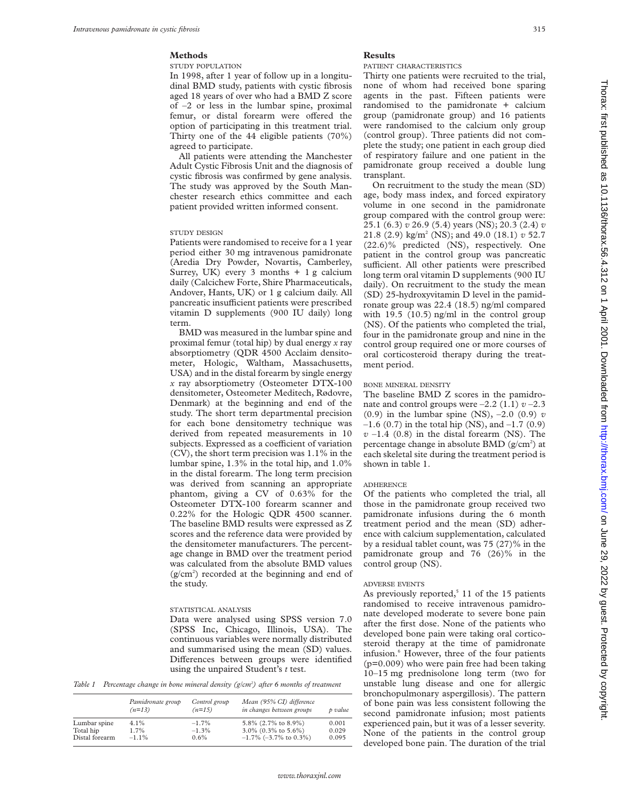# **Methods**

STUDY POPULATION

In 1998, after 1 year of follow up in a longitudinal BMD study, patients with cystic fibrosis aged 18 years of over who had a BMD Z score of –2 or less in the lumbar spine, proximal femur, or distal forearm were offered the option of participating in this treatment trial. Thirty one of the 44 eligible patients (70%) agreed to participate.

All patients were attending the Manchester Adult Cystic Fibrosis Unit and the diagnosis of cystic fibrosis was confirmed by gene analysis. The study was approved by the South Manchester research ethics committee and each patient provided written informed consent.

# STUDY DESIGN

Patients were randomised to receive for a 1 year period either 30 mg intravenous pamidronate (Aredia Dry Powder, Novartis, Camberley, Surrey, UK) every 3 months + 1 g calcium daily (Calcichew Forte, Shire Pharmaceuticals, Andover, Hants, UK) or 1 g calcium daily. All pancreatic insufficient patients were prescribed vitamin D supplements (900 IU daily) long term.

BMD was measured in the lumbar spine and proximal femur (total hip) by dual energy *x* ray absorptiometry (QDR 4500 Acclaim densitometer, Hologic, Waltham, Massachusetts, USA) and in the distal forearm by single energy *x* ray absorptiometry (Osteometer DTX-100 densitometer, Osteometer Meditech, Rødovre, Denmark) at the beginning and end of the study. The short term departmental precision for each bone densitometry technique was derived from repeated measurements in 10 subjects. Expressed as a coefficient of variation (CV), the short term precision was 1.1% in the lumbar spine, 1.3% in the total hip, and 1.0% in the distal forearm. The long term precision was derived from scanning an appropriate phantom, giving a CV of 0.63% for the Osteometer DTX-100 forearm scanner and 0.22% for the Hologic QDR 4500 scanner. The baseline BMD results were expressed as Z scores and the reference data were provided by the densitometer manufacturers. The percentage change in BMD over the treatment period was calculated from the absolute BMD values (g/cm2 ) recorded at the beginning and end of the study.

#### STATISTICAL ANALYSIS

Data were analysed using SPSS version 7.0 (SPSS Inc, Chicago, Illinois, USA). The continuous variables were normally distributed and summarised using the mean (SD) values. Differences between groups were identified using the unpaired Student's *t* test.

*Table 1 Percentage change in bone mineral density (g/cm2 ) after 6 months of treatment*

|                | Pamidronate group<br>$(n=13)$ | Control group<br>$(n=15)$ | Mean (95% CI) difference<br>in changes between groups | p value |
|----------------|-------------------------------|---------------------------|-------------------------------------------------------|---------|
| Lumbar spine   | $4.1\%$                       | $-1.7\%$                  | 5.8% (2.7% to 8.9%)                                   | 0.001   |
| Total hip      | 1.7%                          | $-1.3%$                   | 3.0% (0.3% to 5.6%)                                   | 0.029   |
| Distal forearm | $-1.1\%$                      | 0.6%                      | $-1.7\%$ (-3.7% to 0.3%)                              | 0.095   |

# **Results**

### PATIENT CHARACTERISTICS

Thirty one patients were recruited to the trial, none of whom had received bone sparing agents in the past. Fifteen patients were randomised to the pamidronate + calcium group (pamidronate group) and 16 patients were randomised to the calcium only group (control group). Three patients did not complete the study; one patient in each group died of respiratory failure and one patient in the pamidronate group received a double lung transplant.

On recruitment to the study the mean (SD) age, body mass index, and forced expiratory volume in one second in the pamidronate group compared with the control group were: 25.1 (6.3) *v* 26.9 (5.4) years (NS); 20.3 (2.4) *v* 21.8 (2.9) kg/m2 (NS); and 49.0 (18.1) *v* 52.7 (22.6)% predicted (NS), respectively. One patient in the control group was pancreatic sufficient. All other patients were prescribed long term oral vitamin D supplements (900 IU daily). On recruitment to the study the mean (SD) 25-hydroxyvitamin D level in the pamidronate group was 22.4 (18.5) ng/ml compared with 19.5 (10.5) ng/ml in the control group (NS). Of the patients who completed the trial, four in the pamidronate group and nine in the control group required one or more courses of oral corticosteroid therapy during the treatment period.

## BONE MINERAL DENSITY

The baseline BMD Z scores in the pamidronate and control groups were  $-2.2$  (1.1)  $v - 2.3$ (0.9) in the lumbar spine (NS), –2.0 (0.9) *v*  $-1.6$  (0.7) in the total hip (NS), and  $-1.7$  (0.9)  $v -1.4$  (0.8) in the distal forearm (NS). The percentage change in absolute BMD ( $g/cm<sup>2</sup>$ ) at each skeletal site during the treatment period is shown in table 1.

# ADHERENCE

Of the patients who completed the trial, all those in the pamidronate group received two pamidronate infusions during the 6 month treatment period and the mean (SD) adherence with calcium supplementation, calculated by a residual tablet count, was 75 (27)% in the pamidronate group and 76 (26)% in the control group (NS).

## ADVERSE EVENTS

As previously reported, $5$  11 of the 15 patients randomised to receive intravenous pamidronate developed moderate to severe bone pain after the first dose. None of the patients who developed bone pain were taking oral corticosteroid therapy at the time of pamidronate infusion.<sup>6</sup> However, three of the four patients (p=0.009) who were pain free had been taking 10–15 mg prednisolone long term (two for unstable lung disease and one for allergic bronchopulmonary aspergillosis). The pattern of bone pain was less consistent following the second pamidronate infusion; most patients experienced pain, but it was of a lesser severity. None of the patients in the control group developed bone pain. The duration of the trial